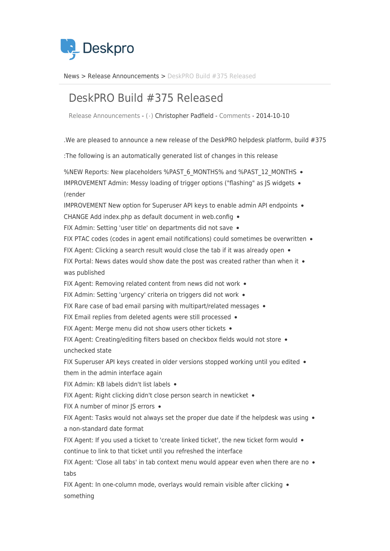

News> Release Announcements > DeskPRO Build #375 Released

## DeskPRO Build #375 Released

Release Announcements - ( · ) Christopher Padfield - [Comments](#page--1-0) - 2014-10-10

. We are pleased to announce a new release of the DeskPRO helpdesk platform, build  $#375$ 

: The following is an automatically generated list of changes in this release

%NEW Reports: New placeholders %PAST 6 MONTHS% and %PAST 12 MONTHS . IMPROVEMENT Admin: Messy loading of trigger options ("flashing" as IS widgets  $\bullet$ render(

IMPROVEMENT New option for Superuser API keys to enable admin API endpoints .

CHANGE Add index.php as default document in web.config  $\bullet$ 

FIX Admin: Setting 'user title' on departments did not save .

FIX PTAC codes (codes in agent email notifications) could sometimes be overwritten  $\bullet$ 

FIX Agent: Clicking a search result would close the tab if it was already open  $\bullet$ 

FIX Portal: News dates would show date the post was created rather than when it  $\bullet$ was published

FIX Agent: Removing related content from news did not work  $\bullet$ 

FIX Admin: Setting 'urgency' criteria on triggers did not work .

FIX Rare case of bad email parsing with multipart/related messages  $\bullet$ 

FIX Email replies from deleted agents were still processed  $\bullet$ 

FIX Agent: Merge menu did not show users other tickets  $\bullet$ 

FIX Agent: Creating/editing filters based on checkbox fields would not store . unchecked state

FIX Superuser API keys created in older versions stopped working until you edited  $\bullet$ them in the admin interface again

FIX Admin: KB labels didn't list labels .

FIX Agent: Right clicking didn't close person search in newticket .

FIX A number of minor JS errors •

FIX Agent: Tasks would not always set the proper due date if the helpdesk was using  $\bullet$ a non-standard date format

FIX Agent: If you used a ticket to 'create linked ticket', the new ticket form would  $\bullet$ continue to link to that ticket until you refreshed the interface

FIX Agent: 'Close all tabs' in tab context menu would appear even when there are no  $\bullet$ tabs

FIX Agent: In one-column mode, overlays would remain visible after clicking • something